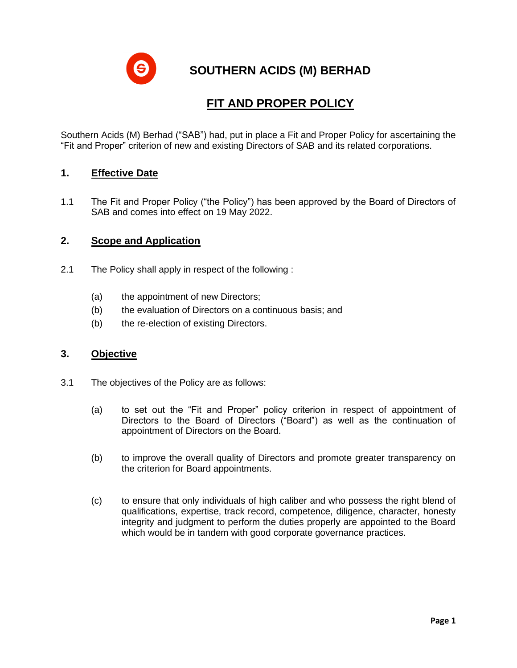**SOUTHERN ACIDS (M) BERHAD**

# **FIT AND PROPER POLICY**

Southern Acids (M) Berhad ("SAB") had, put in place a Fit and Proper Policy for ascertaining the "Fit and Proper" criterion of new and existing Directors of SAB and its related corporations.

# **1. Effective Date**

1.1 The Fit and Proper Policy ("the Policy") has been approved by the Board of Directors of SAB and comes into effect on 19 May 2022.

## **2. Scope and Application**

- 2.1 The Policy shall apply in respect of the following :
	- (a) the appointment of new Directors;
	- (b) the evaluation of Directors on a continuous basis; and
	- (b) the re-election of existing Directors.

#### **3. Objective**

- 3.1 The objectives of the Policy are as follows:
	- (a) to set out the "Fit and Proper" policy criterion in respect of appointment of Directors to the Board of Directors ("Board") as well as the continuation of appointment of Directors on the Board.
	- (b) to improve the overall quality of Directors and promote greater transparency on the criterion for Board appointments.
	- (c) to ensure that only individuals of high caliber and who possess the right blend of qualifications, expertise, track record, competence, diligence, character, honesty integrity and judgment to perform the duties properly are appointed to the Board which would be in tandem with good corporate governance practices.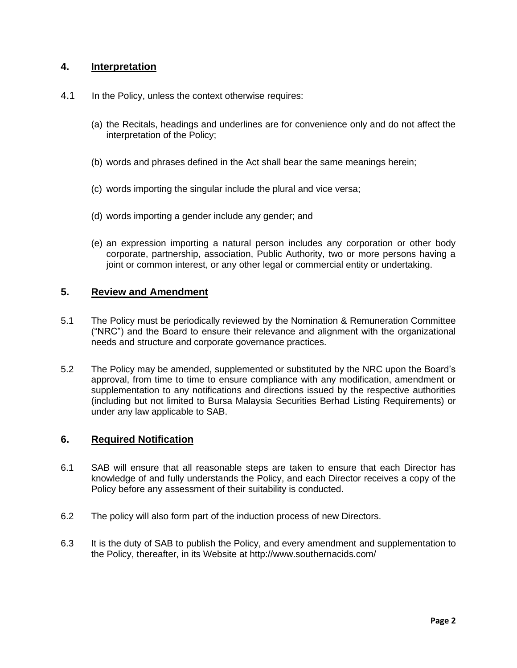# **4. Interpretation**

- 4.1 In the Policy, unless the context otherwise requires:
	- (a) the Recitals, headings and underlines are for convenience only and do not affect the interpretation of the Policy;
	- (b) words and phrases defined in the Act shall bear the same meanings herein;
	- (c) words importing the singular include the plural and vice versa;
	- (d) words importing a gender include any gender; and
	- (e) an expression importing a natural person includes any corporation or other body corporate, partnership, association, Public Authority, two or more persons having a joint or common interest, or any other legal or commercial entity or undertaking.

## **5. Review and Amendment**

- 5.1 The Policy must be periodically reviewed by the Nomination & Remuneration Committee ("NRC") and the Board to ensure their relevance and alignment with the organizational needs and structure and corporate governance practices.
- 5.2 The Policy may be amended, supplemented or substituted by the NRC upon the Board's approval, from time to time to ensure compliance with any modification, amendment or supplementation to any notifications and directions issued by the respective authorities (including but not limited to Bursa Malaysia Securities Berhad Listing Requirements) or under any law applicable to SAB.

#### **6. Required Notification**

- 6.1 SAB will ensure that all reasonable steps are taken to ensure that each Director has knowledge of and fully understands the Policy, and each Director receives a copy of the Policy before any assessment of their suitability is conducted.
- 6.2 The policy will also form part of the induction process of new Directors.
- 6.3 It is the duty of SAB to publish the Policy, and every amendment and supplementation to the Policy, thereafter, in its Website at http://www.southernacids.com/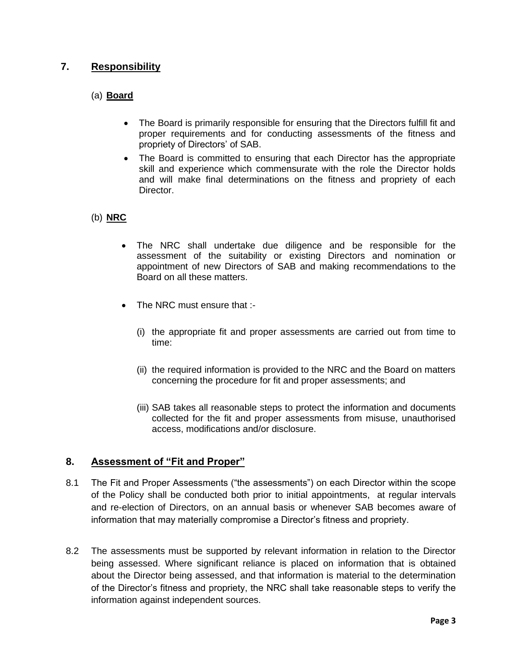# **7. Responsibility**

# (a) **Board**

- The Board is primarily responsible for ensuring that the Directors fulfill fit and proper requirements and for conducting assessments of the fitness and propriety of Directors' of SAB.
- The Board is committed to ensuring that each Director has the appropriate skill and experience which commensurate with the role the Director holds and will make final determinations on the fitness and propriety of each Director.

## (b) **NRC**

- The NRC shall undertake due diligence and be responsible for the assessment of the suitability or existing Directors and nomination or appointment of new Directors of SAB and making recommendations to the Board on all these matters.
- The NRC must ensure that :-
	- (i) the appropriate fit and proper assessments are carried out from time to time:
	- (ii) the required information is provided to the NRC and the Board on matters concerning the procedure for fit and proper assessments; and
	- (iii) SAB takes all reasonable steps to protect the information and documents collected for the fit and proper assessments from misuse, unauthorised access, modifications and/or disclosure.

# **8. Assessment of "Fit and Proper"**

- 8.1 The Fit and Proper Assessments ("the assessments") on each Director within the scope of the Policy shall be conducted both prior to initial appointments, at regular intervals and re-election of Directors, on an annual basis or whenever SAB becomes aware of information that may materially compromise a Director's fitness and propriety.
- 8.2 The assessments must be supported by relevant information in relation to the Director being assessed. Where significant reliance is placed on information that is obtained about the Director being assessed, and that information is material to the determination of the Director's fitness and propriety, the NRC shall take reasonable steps to verify the information against independent sources.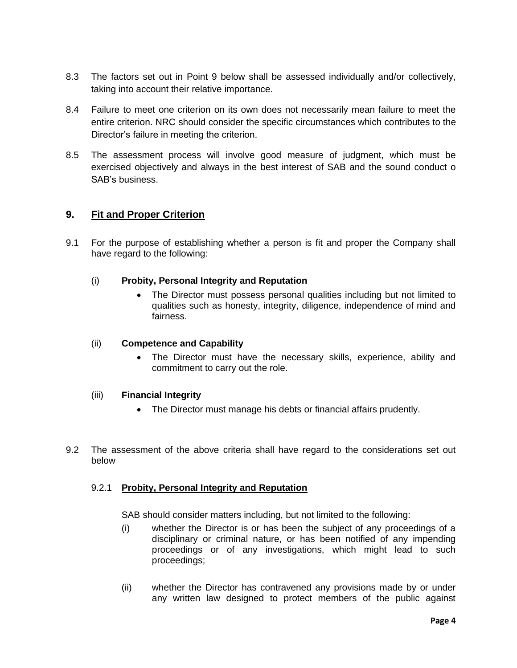- 8.3 The factors set out in Point 9 below shall be assessed individually and/or collectively, taking into account their relative importance.
- 8.4 Failure to meet one criterion on its own does not necessarily mean failure to meet the entire criterion. NRC should consider the specific circumstances which contributes to the Director's failure in meeting the criterion.
- 8.5 The assessment process will involve good measure of judgment, which must be exercised objectively and always in the best interest of SAB and the sound conduct o SAB's business.

# **9. Fit and Proper Criterion**

9.1 For the purpose of establishing whether a person is fit and proper the Company shall have regard to the following:

#### (i) **Probity, Personal Integrity and Reputation**

• The Director must possess personal qualities including but not limited to qualities such as honesty, integrity, diligence, independence of mind and fairness.

#### (ii) **Competence and Capability**

The Director must have the necessary skills, experience, ability and commitment to carry out the role.

#### (iii) **Financial Integrity**

- The Director must manage his debts or financial affairs prudently.
- 9.2 The assessment of the above criteria shall have regard to the considerations set out below

#### 9.2.1 **Probity, Personal Integrity and Reputation**

SAB should consider matters including, but not limited to the following:

- (i) whether the Director is or has been the subject of any proceedings of a disciplinary or criminal nature, or has been notified of any impending proceedings or of any investigations, which might lead to such proceedings;
- (ii) whether the Director has contravened any provisions made by or under any written law designed to protect members of the public against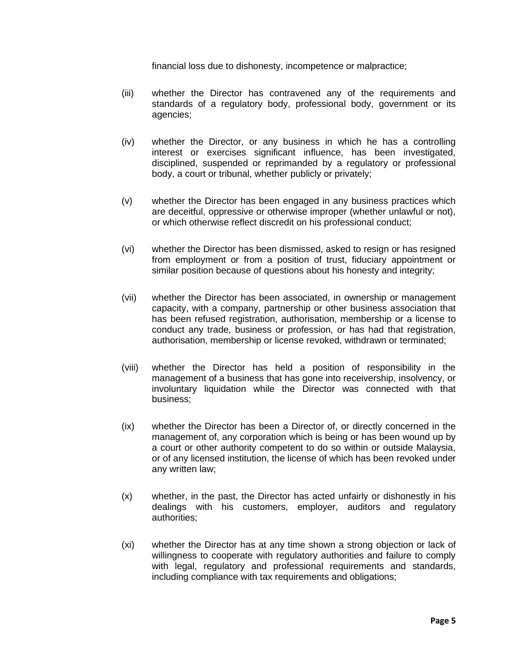financial loss due to dishonesty, incompetence or malpractice;

- (iii) whether the Director has contravened any of the requirements and standards of a regulatory body, professional body, government or its agencies;
- (iv) whether the Director, or any business in which he has a controlling interest or exercises significant influence, has been investigated, disciplined, suspended or reprimanded by a regulatory or professional body, a court or tribunal, whether publicly or privately;
- (v) whether the Director has been engaged in any business practices which are deceitful, oppressive or otherwise improper (whether unlawful or not), or which otherwise reflect discredit on his professional conduct;
- (vi) whether the Director has been dismissed, asked to resign or has resigned from employment or from a position of trust, fiduciary appointment or similar position because of questions about his honesty and integrity;
- (vii) whether the Director has been associated, in ownership or management capacity, with a company, partnership or other business association that has been refused registration, authorisation, membership or a license to conduct any trade, business or profession, or has had that registration, authorisation, membership or license revoked, withdrawn or terminated;
- (viii) whether the Director has held a position of responsibility in the management of a business that has gone into receivership, insolvency, or involuntary liquidation while the Director was connected with that business;
- (ix) whether the Director has been a Director of, or directly concerned in the management of, any corporation which is being or has been wound up by a court or other authority competent to do so within or outside Malaysia, or of any licensed institution, the license of which has been revoked under any written law;
- (x) whether, in the past, the Director has acted unfairly or dishonestly in his dealings with his customers, employer, auditors and regulatory authorities;
- (xi) whether the Director has at any time shown a strong objection or lack of willingness to cooperate with regulatory authorities and failure to comply with legal, regulatory and professional requirements and standards, including compliance with tax requirements and obligations;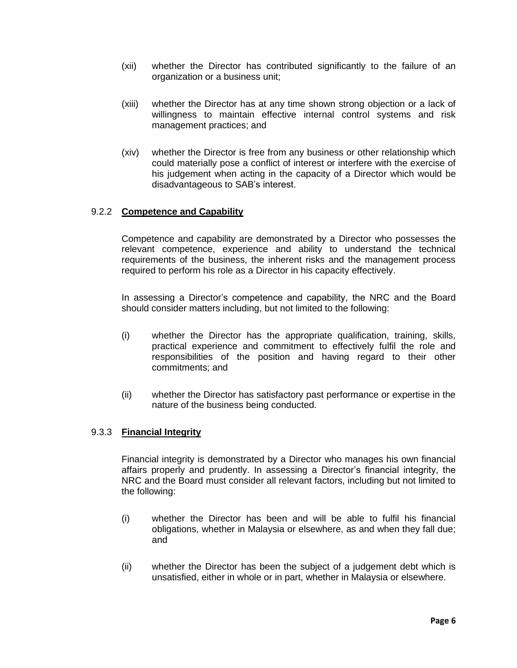- (xii) whether the Director has contributed significantly to the failure of an organization or a business unit;
- (xiii) whether the Director has at any time shown strong objection or a lack of willingness to maintain effective internal control systems and risk management practices; and
- (xiv) whether the Director is free from any business or other relationship which could materially pose a conflict of interest or interfere with the exercise of his judgement when acting in the capacity of a Director which would be disadvantageous to SAB's interest.

#### 9.2.2 **Competence and Capability**

Competence and capability are demonstrated by a Director who possesses the relevant competence, experience and ability to understand the technical requirements of the business, the inherent risks and the management process required to perform his role as a Director in his capacity effectively.

In assessing a Director's competence and capability, the NRC and the Board should consider matters including, but not limited to the following:

- (i) whether the Director has the appropriate qualification, training, skills, practical experience and commitment to effectively fulfil the role and responsibilities of the position and having regard to their other commitments; and
- (ii) whether the Director has satisfactory past performance or expertise in the nature of the business being conducted.

#### 9.3.3 **Financial Integrity**

Financial integrity is demonstrated by a Director who manages his own financial affairs properly and prudently. In assessing a Director's financial integrity, the NRC and the Board must consider all relevant factors, including but not limited to the following:

- (i) whether the Director has been and will be able to fulfil his financial obligations, whether in Malaysia or elsewhere, as and when they fall due; and
- (ii) whether the Director has been the subject of a judgement debt which is unsatisfied, either in whole or in part, whether in Malaysia or elsewhere.